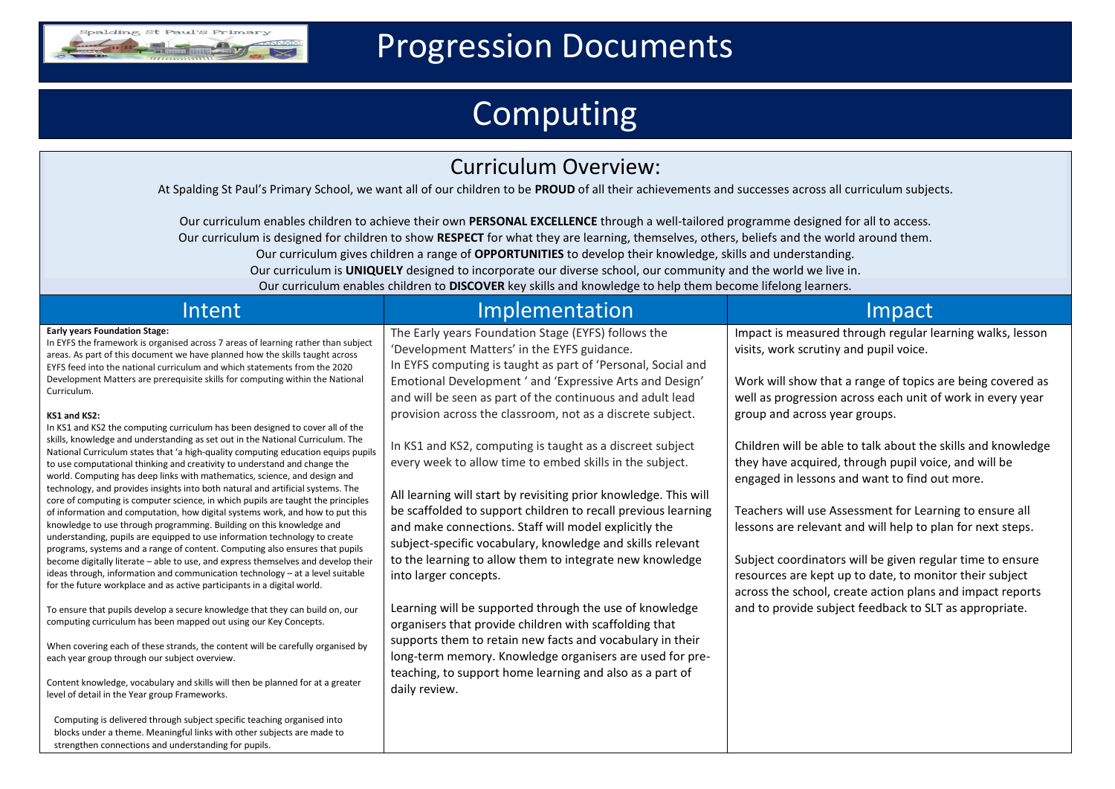

## Progression Documents

## Computing

| <b>Curriculum Overview:</b>                                                                                                                                                                                                                                                                                                                                                                                                                                                                                                                                                                                                                                                                                                                                                                                                                                                                                                                                                                                                                                                                                                                                                                                                                                                                                                                                                                                                                                                                                                                                                                                                                                                                                                                                                                                                                                                                                                                                                                                                                                                                                                                             |                                                                                                                                                                                                                                                                                                                                                                                                                                                                                                                                                                                                                                                                                                                                                                                                                                                                                                                                                                                                                                                                                                                                                                |                                                                                                                                                                                                                                                                                                                                                                                                                                                                                                                                                                                                                                                                                                                                                                                                                   |  |  |
|---------------------------------------------------------------------------------------------------------------------------------------------------------------------------------------------------------------------------------------------------------------------------------------------------------------------------------------------------------------------------------------------------------------------------------------------------------------------------------------------------------------------------------------------------------------------------------------------------------------------------------------------------------------------------------------------------------------------------------------------------------------------------------------------------------------------------------------------------------------------------------------------------------------------------------------------------------------------------------------------------------------------------------------------------------------------------------------------------------------------------------------------------------------------------------------------------------------------------------------------------------------------------------------------------------------------------------------------------------------------------------------------------------------------------------------------------------------------------------------------------------------------------------------------------------------------------------------------------------------------------------------------------------------------------------------------------------------------------------------------------------------------------------------------------------------------------------------------------------------------------------------------------------------------------------------------------------------------------------------------------------------------------------------------------------------------------------------------------------------------------------------------------------|----------------------------------------------------------------------------------------------------------------------------------------------------------------------------------------------------------------------------------------------------------------------------------------------------------------------------------------------------------------------------------------------------------------------------------------------------------------------------------------------------------------------------------------------------------------------------------------------------------------------------------------------------------------------------------------------------------------------------------------------------------------------------------------------------------------------------------------------------------------------------------------------------------------------------------------------------------------------------------------------------------------------------------------------------------------------------------------------------------------------------------------------------------------|-------------------------------------------------------------------------------------------------------------------------------------------------------------------------------------------------------------------------------------------------------------------------------------------------------------------------------------------------------------------------------------------------------------------------------------------------------------------------------------------------------------------------------------------------------------------------------------------------------------------------------------------------------------------------------------------------------------------------------------------------------------------------------------------------------------------|--|--|
| At Spalding St Paul's Primary School, we want all of our children to be PROUD of all their achievements and successes across all curriculum subjects.                                                                                                                                                                                                                                                                                                                                                                                                                                                                                                                                                                                                                                                                                                                                                                                                                                                                                                                                                                                                                                                                                                                                                                                                                                                                                                                                                                                                                                                                                                                                                                                                                                                                                                                                                                                                                                                                                                                                                                                                   |                                                                                                                                                                                                                                                                                                                                                                                                                                                                                                                                                                                                                                                                                                                                                                                                                                                                                                                                                                                                                                                                                                                                                                |                                                                                                                                                                                                                                                                                                                                                                                                                                                                                                                                                                                                                                                                                                                                                                                                                   |  |  |
| Our curriculum enables children to achieve their own PERSONAL EXCELLENCE through a well-tailored programme designed for all to access.<br>Our curriculum is designed for children to show RESPECT for what they are learning, themselves, others, beliefs and the world around them.<br>Our curriculum gives children a range of OPPORTUNITIES to develop their knowledge, skills and understanding.<br>Our curriculum is UNIQUELY designed to incorporate our diverse school, our community and the world we live in.<br>Our curriculum enables children to DISCOVER key skills and knowledge to help them become lifelong learners.                                                                                                                                                                                                                                                                                                                                                                                                                                                                                                                                                                                                                                                                                                                                                                                                                                                                                                                                                                                                                                                                                                                                                                                                                                                                                                                                                                                                                                                                                                                   |                                                                                                                                                                                                                                                                                                                                                                                                                                                                                                                                                                                                                                                                                                                                                                                                                                                                                                                                                                                                                                                                                                                                                                |                                                                                                                                                                                                                                                                                                                                                                                                                                                                                                                                                                                                                                                                                                                                                                                                                   |  |  |
| Intent                                                                                                                                                                                                                                                                                                                                                                                                                                                                                                                                                                                                                                                                                                                                                                                                                                                                                                                                                                                                                                                                                                                                                                                                                                                                                                                                                                                                                                                                                                                                                                                                                                                                                                                                                                                                                                                                                                                                                                                                                                                                                                                                                  | Implementation                                                                                                                                                                                                                                                                                                                                                                                                                                                                                                                                                                                                                                                                                                                                                                                                                                                                                                                                                                                                                                                                                                                                                 | Impact                                                                                                                                                                                                                                                                                                                                                                                                                                                                                                                                                                                                                                                                                                                                                                                                            |  |  |
| <b>Early years Foundation Stage:</b><br>In EYFS the framework is organised across 7 areas of learning rather than subject<br>areas. As part of this document we have planned how the skills taught across<br>EYFS feed into the national curriculum and which statements from the 2020<br>Development Matters are prerequisite skills for computing within the National<br>Curriculum.<br>KS1 and KS2:<br>In KS1 and KS2 the computing curriculum has been designed to cover all of the<br>skills, knowledge and understanding as set out in the National Curriculum. The<br>National Curriculum states that 'a high-quality computing education equips pupils<br>to use computational thinking and creativity to understand and change the<br>world. Computing has deep links with mathematics, science, and design and<br>technology, and provides insights into both natural and artificial systems. The<br>core of computing is computer science, in which pupils are taught the principles<br>of information and computation, how digital systems work, and how to put this<br>knowledge to use through programming. Building on this knowledge and<br>understanding, pupils are equipped to use information technology to create<br>programs, systems and a range of content. Computing also ensures that pupils<br>become digitally literate - able to use, and express themselves and develop their<br>ideas through, information and communication technology - at a level suitable<br>for the future workplace and as active participants in a digital world.<br>To ensure that pupils develop a secure knowledge that they can build on, our<br>computing curriculum has been mapped out using our Key Concepts.<br>When covering each of these strands, the content will be carefully organised by<br>each year group through our subject overview.<br>Content knowledge, vocabulary and skills will then be planned for at a greater<br>level of detail in the Year group Frameworks.<br>Computing is delivered through subject specific teaching organised into<br>blocks under a theme. Meaningful links with other subjects are made to | The Early years Foundation Stage (EYFS) follows the<br>'Development Matters' in the EYFS guidance.<br>In EYFS computing is taught as part of 'Personal, Social and<br>Emotional Development ' and 'Expressive Arts and Design'<br>and will be seen as part of the continuous and adult lead<br>provision across the classroom, not as a discrete subject.<br>In KS1 and KS2, computing is taught as a discreet subject<br>every week to allow time to embed skills in the subject.<br>All learning will start by revisiting prior knowledge. This will<br>be scaffolded to support children to recall previous learning<br>and make connections. Staff will model explicitly the<br>subject-specific vocabulary, knowledge and skills relevant<br>to the learning to allow them to integrate new knowledge<br>into larger concepts.<br>Learning will be supported through the use of knowledge<br>organisers that provide children with scaffolding that<br>supports them to retain new facts and vocabulary in their<br>long-term memory. Knowledge organisers are used for pre-<br>teaching, to support home learning and also as a part of<br>daily review. | Impact is measured through regular learning walks, lesson<br>visits, work scrutiny and pupil voice.<br>Work will show that a range of topics are being covered as<br>well as progression across each unit of work in every year<br>group and across year groups.<br>Children will be able to talk about the skills and knowledge<br>they have acquired, through pupil voice, and will be<br>engaged in lessons and want to find out more.<br>Teachers will use Assessment for Learning to ensure all<br>lessons are relevant and will help to plan for next steps.<br>Subject coordinators will be given regular time to ensure<br>resources are kept up to date, to monitor their subject<br>across the school, create action plans and impact reports<br>and to provide subject feedback to SLT as appropriate. |  |  |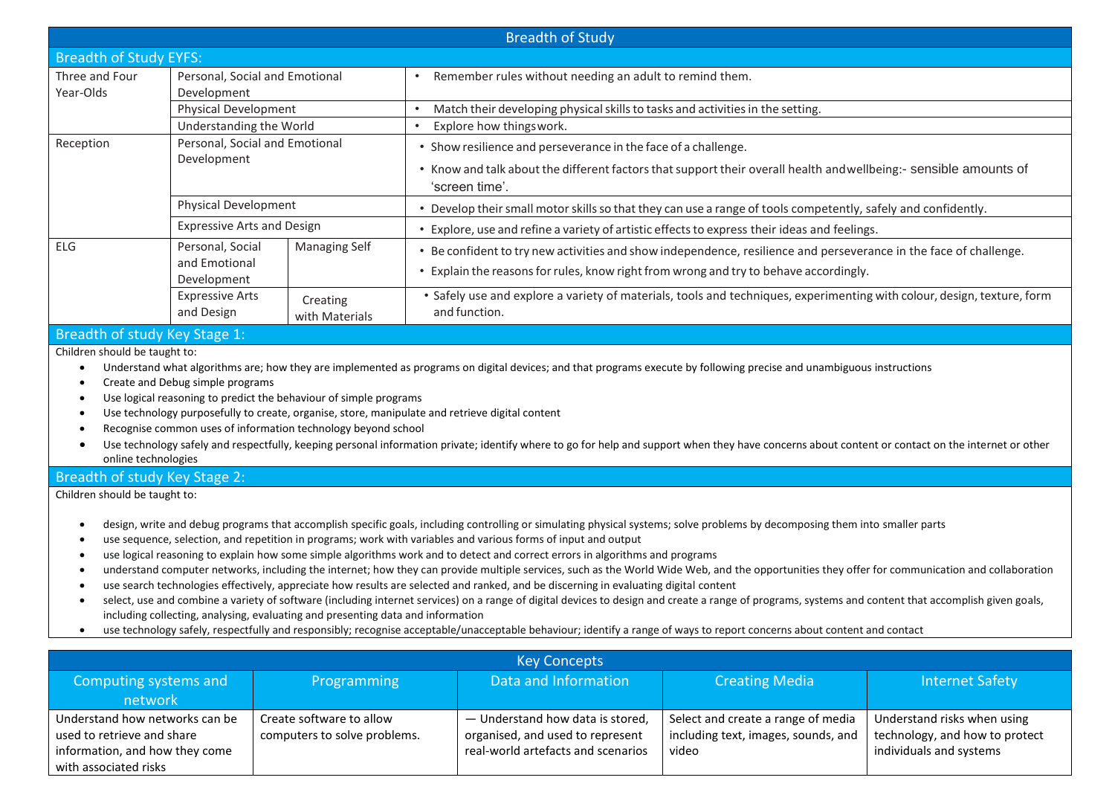| <b>Breadth of Study</b>                                                                                                                                                                              |                                                  |                            |                                                                                                                                                                                                        |  |  |
|------------------------------------------------------------------------------------------------------------------------------------------------------------------------------------------------------|--------------------------------------------------|----------------------------|--------------------------------------------------------------------------------------------------------------------------------------------------------------------------------------------------------|--|--|
| Breadth of Study EYFS:                                                                                                                                                                               |                                                  |                            |                                                                                                                                                                                                        |  |  |
| Personal, Social and Emotional<br>Three and Four<br>Year-Olds<br>Development<br><b>Physical Development</b><br>Understanding the World<br>Personal, Social and Emotional<br>Reception<br>Development |                                                  |                            | Remember rules without needing an adult to remind them.                                                                                                                                                |  |  |
|                                                                                                                                                                                                      |                                                  |                            | Match their developing physical skills to tasks and activities in the setting.<br>Explore how thingswork.                                                                                              |  |  |
|                                                                                                                                                                                                      |                                                  |                            | • Show resilience and perseverance in the face of a challenge.<br>Know and talk about the different factors that support their overall health and wellbeing:- sensible amounts of<br>'screen time'.    |  |  |
|                                                                                                                                                                                                      | <b>Physical Development</b>                      |                            | • Develop their small motor skills so that they can use a range of tools competently, safely and confidently.                                                                                          |  |  |
|                                                                                                                                                                                                      | <b>Expressive Arts and Design</b>                |                            | • Explore, use and refine a variety of artistic effects to express their ideas and feelings.                                                                                                           |  |  |
| <b>ELG</b>                                                                                                                                                                                           | Personal, Social<br>and Emotional<br>Development | <b>Managing Self</b>       | Be confident to try new activities and show independence, resilience and perseverance in the face of challenge.<br>Explain the reasons for rules, know right from wrong and try to behave accordingly. |  |  |
|                                                                                                                                                                                                      | <b>Expressive Arts</b><br>and Design             | Creating<br>with Materials | • Safely use and explore a variety of materials, tools and techniques, experimenting with colour, design, texture, form<br>and function.                                                               |  |  |

## Breadth of study Key Stage 1:

Children should be taught to:

- Understand what algorithms are; how they are implemented as programs on digital devices; and that programs execute by following precise and unambiguous instructions
- Create and Debug simple programs
- Use logical reasoning to predict the behaviour of simple programs
- Use technology purposefully to create, organise, store, manipulate and retrieve digital content
- Recognise common uses of information technology beyond school
- Use technology safely and respectfully, keeping personal information private; identify where to go for help and support when they have concerns about content or contact on the internet or other online technologies

## Breadth of study Key Stage 2:

Children should be taught to:

- design, write and debug programs that accomplish specific goals, including controlling or simulating physical systems; solve problems by decomposing them into smaller parts
- use sequence, selection, and repetition in programs; work with variables and various forms of input and output
- use logical reasoning to explain how some simple algorithms work and to detect and correct errors in algorithms and programs
- understand computer networks, including the internet; how they can provide multiple services, such as the World Wide Web, and the opportunities they offer for communication and collaboration
- use search technologies effectively, appreciate how results are selected and ranked, and be discerning in evaluating digital content
- select, use and combine a variety of software (including internet services) on a range of digital devices to design and create a range of programs, systems and content that accomplish given goals, including collecting, analysing, evaluating and presenting data and information
- use technology safely, respectfully and responsibly; recognise acceptable/unacceptable behaviour; identify a range of ways to report concerns about content and contact

| <b>Key Concepts</b>            |                              |                                    |                                     |                                |  |  |
|--------------------------------|------------------------------|------------------------------------|-------------------------------------|--------------------------------|--|--|
| Computing systems and          | Programming                  | Data and Information               | <b>Creating Media</b>               | Internet Safety                |  |  |
| network                        |                              |                                    |                                     |                                |  |  |
| Understand how networks can be | Create software to allow     | - Understand how data is stored,   | Select and create a range of media  | Understand risks when using    |  |  |
| used to retrieve and share     | computers to solve problems. | organised, and used to represent   | including text, images, sounds, and | technology, and how to protect |  |  |
| information, and how they come |                              | real-world artefacts and scenarios | video                               | individuals and systems        |  |  |
| with associated risks          |                              |                                    |                                     |                                |  |  |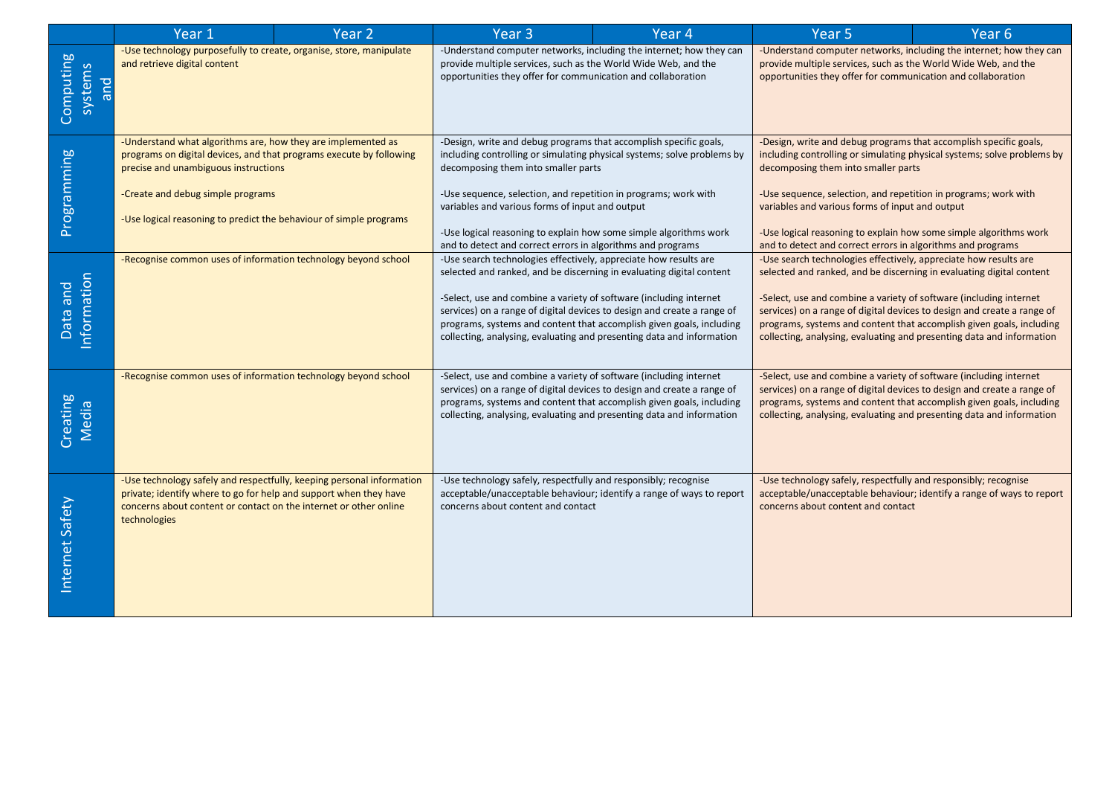|                            | Year 1                                                                                                                                                                                                                                                                                                                                                   | Year <sub>2</sub> | Year <sub>3</sub>                                                                                                                                                                                                                                                                                                                                                                                                                                                                                                 | Year 4                                                                | Year <sub>5</sub>                                                                                                                                                                                                                                                                                                                                                                                                                                                                                                 | Year <sub>6</sub>                                                     |
|----------------------------|----------------------------------------------------------------------------------------------------------------------------------------------------------------------------------------------------------------------------------------------------------------------------------------------------------------------------------------------------------|-------------------|-------------------------------------------------------------------------------------------------------------------------------------------------------------------------------------------------------------------------------------------------------------------------------------------------------------------------------------------------------------------------------------------------------------------------------------------------------------------------------------------------------------------|-----------------------------------------------------------------------|-------------------------------------------------------------------------------------------------------------------------------------------------------------------------------------------------------------------------------------------------------------------------------------------------------------------------------------------------------------------------------------------------------------------------------------------------------------------------------------------------------------------|-----------------------------------------------------------------------|
| Computing<br>systems       | -Use technology purposefully to create, organise, store, manipulate<br>and retrieve digital content                                                                                                                                                                                                                                                      |                   | -Understand computer networks, including the internet; how they can<br>provide multiple services, such as the World Wide Web, and the<br>opportunities they offer for communication and collaboration                                                                                                                                                                                                                                                                                                             |                                                                       | -Understand computer networks, including the internet; how they can<br>provide multiple services, such as the World Wide Web, and the<br>opportunities they offer for communication and collaboration                                                                                                                                                                                                                                                                                                             |                                                                       |
| Programming                | -Understand what algorithms are, how they are implemented as<br>programs on digital devices, and that programs execute by following<br>precise and unambiguous instructions<br>-Create and debug simple programs<br>-Use logical reasoning to predict the behaviour of simple programs<br>-Recognise common uses of information technology beyond school |                   | -Design, write and debug programs that accomplish specific goals,<br>including controlling or simulating physical systems; solve problems by<br>decomposing them into smaller parts<br>-Use sequence, selection, and repetition in programs; work with<br>variables and various forms of input and output<br>-Use logical reasoning to explain how some simple algorithms work<br>and to detect and correct errors in algorithms and programs<br>-Use search technologies effectively, appreciate how results are |                                                                       | -Design, write and debug programs that accomplish specific goals,<br>including controlling or simulating physical systems; solve problems by<br>decomposing them into smaller parts<br>-Use sequence, selection, and repetition in programs; work with<br>variables and various forms of input and output<br>-Use logical reasoning to explain how some simple algorithms work<br>and to detect and correct errors in algorithms and programs<br>-Use search technologies effectively, appreciate how results are |                                                                       |
| Information<br>and<br>Data |                                                                                                                                                                                                                                                                                                                                                          |                   | selected and ranked, and be discerning in evaluating digital content<br>-Select, use and combine a variety of software (including internet<br>services) on a range of digital devices to design and create a range of<br>programs, systems and content that accomplish given goals, including<br>collecting, analysing, evaluating and presenting data and information                                                                                                                                            |                                                                       | selected and ranked, and be discerning in evaluating digital content<br>-Select, use and combine a variety of software (including internet<br>services) on a range of digital devices to design and create a range of<br>programs, systems and content that accomplish given goals, including<br>collecting, analysing, evaluating and presenting data and information                                                                                                                                            |                                                                       |
| Creating<br>Media          | -Recognise common uses of information technology beyond school                                                                                                                                                                                                                                                                                           |                   | -Select, use and combine a variety of software (including internet<br>services) on a range of digital devices to design and create a range of<br>programs, systems and content that accomplish given goals, including<br>collecting, analysing, evaluating and presenting data and information                                                                                                                                                                                                                    |                                                                       | -Select, use and combine a variety of software (including internet<br>services) on a range of digital devices to design and create a range of<br>programs, systems and content that accomplish given goals, including<br>collecting, analysing, evaluating and presenting data and information                                                                                                                                                                                                                    |                                                                       |
| Internet Safety            | -Use technology safely and respectfully, keeping personal information<br>private; identify where to go for help and support when they have<br>concerns about content or contact on the internet or other online<br>technologies                                                                                                                          |                   | -Use technology safely, respectfully and responsibly; recognise<br>concerns about content and contact                                                                                                                                                                                                                                                                                                                                                                                                             | acceptable/unacceptable behaviour; identify a range of ways to report | -Use technology safely, respectfully and responsibly; recognise<br>concerns about content and contact                                                                                                                                                                                                                                                                                                                                                                                                             | acceptable/unacceptable behaviour; identify a range of ways to report |